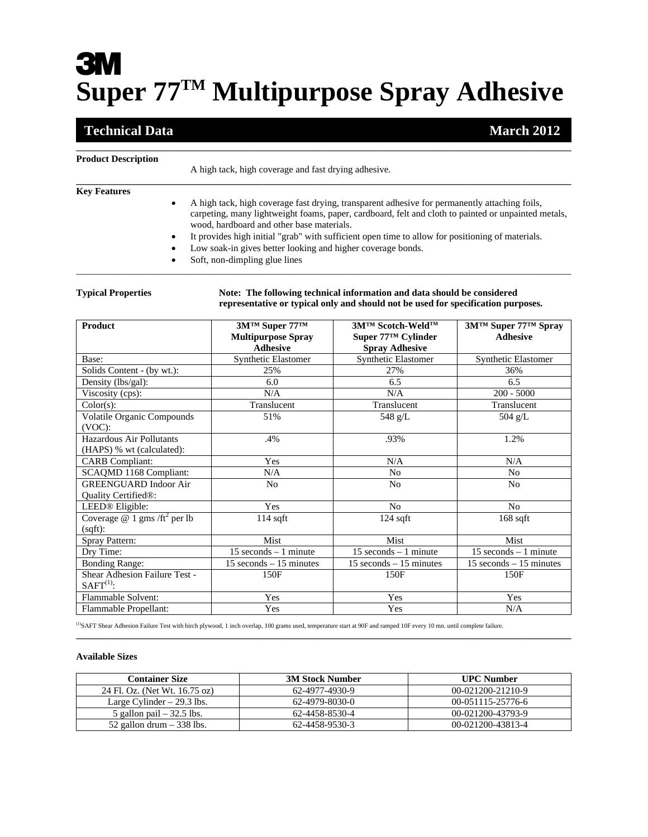# **3M Super 77TM Multipurpose Spray Adhesive**

## **Technical Data** March 2012

| <b>Product Description</b> |                                                                                                                                                                                                                                                                |
|----------------------------|----------------------------------------------------------------------------------------------------------------------------------------------------------------------------------------------------------------------------------------------------------------|
|                            | A high tack, high coverage and fast drying adhesive.                                                                                                                                                                                                           |
| <b>Key Features</b>        |                                                                                                                                                                                                                                                                |
|                            | A high tack, high coverage fast drying, transparent adhesive for permanently attaching foils,<br>$\bullet$<br>carpeting, many lightweight foams, paper, cardboard, felt and cloth to painted or unpainted metals,<br>wood, hardboard and other base materials. |
|                            | It provides high initial "grab" with sufficient open time to allow for positioning of materials.<br>$\bullet$                                                                                                                                                  |
|                            | Low soak-in gives better looking and higher coverage bonds.<br>$\bullet$                                                                                                                                                                                       |
|                            | Soft, non-dimpling glue lines                                                                                                                                                                                                                                  |

\_\_\_\_\_\_\_\_\_\_\_\_\_\_\_\_\_\_\_\_\_\_\_\_\_\_\_\_\_\_\_\_\_\_\_\_\_\_\_\_\_\_\_\_\_\_\_\_\_\_\_\_\_\_\_\_\_\_\_\_\_\_\_\_\_\_\_\_\_\_\_\_\_\_\_\_\_\_\_\_\_\_\_\_\_\_\_\_\_\_\_\_\_\_\_\_\_\_\_\_\_\_\_\_

\_\_\_\_\_\_\_\_\_\_\_\_\_\_\_\_\_\_\_\_\_\_\_\_\_\_\_\_\_\_\_\_\_\_\_\_\_\_\_\_\_\_\_\_\_\_\_\_\_\_\_\_\_\_\_\_\_\_\_\_\_\_\_\_\_\_\_\_\_\_\_\_\_\_\_\_\_\_

**Typical Properties Note: The following technical information and data should be considered representative or typical only and should not be used for specification purposes.** 

| <b>Product</b>                                                   | 3M™ Super 77™<br><b>Multipurpose Spray</b> | 3M™ Scotch-Weld™<br>Super 77™ Cylinder | 3M™ Super 77™ Spray<br><b>Adhesive</b> |
|------------------------------------------------------------------|--------------------------------------------|----------------------------------------|----------------------------------------|
|                                                                  | <b>Adhesive</b>                            | <b>Spray Adhesive</b>                  |                                        |
| Base:                                                            | Synthetic Elastomer                        | Synthetic Elastomer                    | <b>Synthetic Elastomer</b>             |
| Solids Content - (by wt.):                                       | 25%                                        | 27%                                    | 36%                                    |
| Density (lbs/gal):                                               | 6.0                                        | 6.5                                    | 6.5                                    |
| Viscosity (cps):                                                 | N/A                                        | N/A                                    | $200 - 5000$                           |
| Color(s):                                                        | Translucent                                | Translucent                            | Translucent                            |
| <b>Volatile Organic Compounds</b><br>$(VOC)$ :                   | 51%                                        | 548 g/L                                | 504 $g/L$                              |
| Hazardous Air Pollutants<br>(HAPS) % wt (calculated):            | .4%                                        | .93%                                   | 1.2%                                   |
| <b>CARB</b> Compliant:                                           | Yes                                        | N/A                                    | N/A                                    |
| SCAQMD 1168 Compliant:                                           | N/A                                        | N <sub>0</sub>                         | N <sub>0</sub>                         |
| <b>GREENGUARD</b> Indoor Air<br>Quality Certified <sup>®</sup> : | No                                         | N <sub>o</sub>                         | No                                     |
| LEED® Eligible:                                                  | Yes                                        | N <sub>0</sub>                         | N <sub>0</sub>                         |
| Coverage @ 1 gms /ft <sup>2</sup> per lb<br>(sqft):              | $114$ sqft                                 | $124$ sqft                             | $168$ sqft                             |
| Spray Pattern:                                                   | <b>Mist</b>                                | <b>Mist</b>                            | Mist                                   |
| Dry Time:                                                        | $15$ seconds $-1$ minute                   | $15$ seconds $-1$ minute               | $15$ seconds $-1$ minute               |
| <b>Bonding Range:</b>                                            | $15$ seconds $-15$ minutes                 | $15$ seconds $-15$ minutes             | $15$ seconds $-15$ minutes             |
| Shear Adhesion Failure Test -<br>$SAFT(1)$ :                     | 150F                                       | 150F                                   | 150F                                   |
| Flammable Solvent:                                               | Yes                                        | Yes                                    | Yes                                    |
| Flammable Propellant:                                            | Yes                                        | Yes                                    | N/A                                    |

(1)SAFT Shear Adhesion Failure Test with birch plywood, 1 inch overlap, 100 grams used, temperature start at 90F and ramped 10F every 10 mn. until complete failure.

#### **Available Sizes**

| <b>Container Size</b>         | <b>3M Stock Number</b> | <b>UPC Number</b> |
|-------------------------------|------------------------|-------------------|
| 24 Fl. Oz. (Net Wt. 16.75 oz) | 62-4977-4930-9         | 00-021200-21210-9 |
| Large Cylinder $-29.3$ lbs.   | 62-4979-8030-0         | 00-051115-25776-6 |
| 5 gallon pail $-32.5$ lbs.    | 62-4458-8530-4         | 00-021200-43793-9 |
| 52 gallon drum $-$ 338 lbs.   | 62-4458-9530-3         | 00-021200-43813-4 |

**\_\_\_\_\_\_\_\_\_\_\_\_\_\_\_\_\_\_\_\_\_\_\_\_\_\_\_\_\_\_\_\_\_\_\_\_\_\_\_\_\_\_\_\_\_\_\_\_\_\_\_\_\_\_\_\_\_\_\_\_\_\_\_\_\_\_\_\_\_\_\_\_\_\_\_\_\_\_\_\_\_\_\_\_\_\_\_\_\_\_\_\_\_\_\_\_\_\_\_\_\_\_\_\_**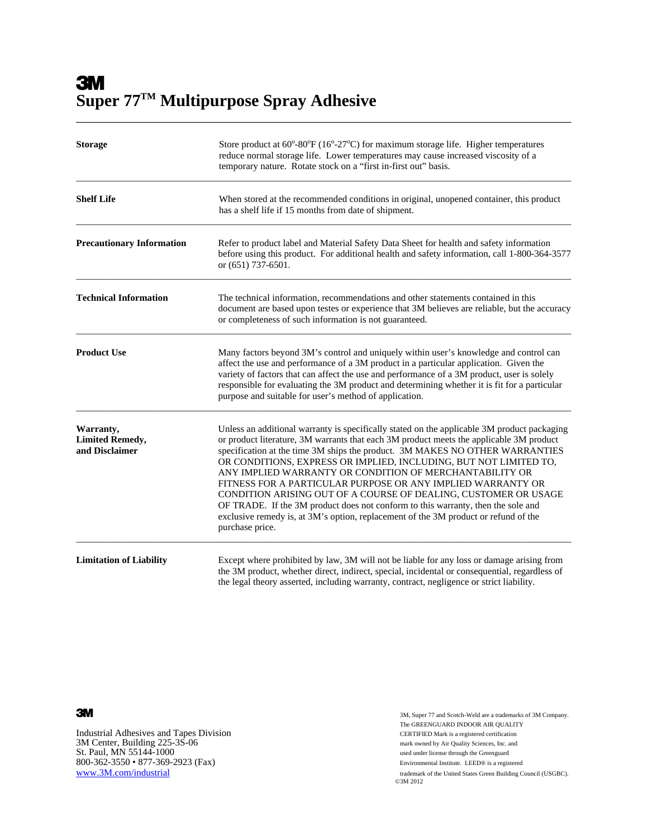**3M Super 77TM Multipurpose Spray Adhesive** 

| <b>Storage</b>                                        | Store product at $60^{\circ}$ -80 $^{\circ}$ F (16 $^{\circ}$ -27 $^{\circ}$ C) for maximum storage life. Higher temperatures<br>reduce normal storage life. Lower temperatures may cause increased viscosity of a<br>temporary nature. Rotate stock on a "first in-first out" basis.                                                                                                                                                                                                                                                                                                                                                                                                                                                  |
|-------------------------------------------------------|----------------------------------------------------------------------------------------------------------------------------------------------------------------------------------------------------------------------------------------------------------------------------------------------------------------------------------------------------------------------------------------------------------------------------------------------------------------------------------------------------------------------------------------------------------------------------------------------------------------------------------------------------------------------------------------------------------------------------------------|
| <b>Shelf Life</b>                                     | When stored at the recommended conditions in original, unopened container, this product<br>has a shelf life if 15 months from date of shipment.                                                                                                                                                                                                                                                                                                                                                                                                                                                                                                                                                                                        |
| <b>Precautionary Information</b>                      | Refer to product label and Material Safety Data Sheet for health and safety information<br>before using this product. For additional health and safety information, call 1-800-364-3577<br>or (651) 737-6501.                                                                                                                                                                                                                                                                                                                                                                                                                                                                                                                          |
| <b>Technical Information</b>                          | The technical information, recommendations and other statements contained in this<br>document are based upon testes or experience that 3M believes are reliable, but the accuracy<br>or completeness of such information is not guaranteed.                                                                                                                                                                                                                                                                                                                                                                                                                                                                                            |
| <b>Product Use</b>                                    | Many factors beyond 3M's control and uniquely within user's knowledge and control can<br>affect the use and performance of a 3M product in a particular application. Given the<br>variety of factors that can affect the use and performance of a 3M product, user is solely<br>responsible for evaluating the 3M product and determining whether it is fit for a particular<br>purpose and suitable for user's method of application.                                                                                                                                                                                                                                                                                                 |
| Warranty,<br><b>Limited Remedy,</b><br>and Disclaimer | Unless an additional warranty is specifically stated on the applicable 3M product packaging<br>or product literature, 3M warrants that each 3M product meets the applicable 3M product<br>specification at the time 3M ships the product. 3M MAKES NO OTHER WARRANTIES<br>OR CONDITIONS, EXPRESS OR IMPLIED, INCLUDING, BUT NOT LIMITED TO,<br>ANY IMPLIED WARRANTY OR CONDITION OF MERCHANTABILITY OR<br>FITNESS FOR A PARTICULAR PURPOSE OR ANY IMPLIED WARRANTY OR<br>CONDITION ARISING OUT OF A COURSE OF DEALING, CUSTOMER OR USAGE<br>OF TRADE. If the 3M product does not conform to this warranty, then the sole and<br>exclusive remedy is, at 3M's option, replacement of the 3M product or refund of the<br>purchase price. |
| <b>Limitation of Liability</b>                        | Except where prohibited by law, 3M will not be liable for any loss or damage arising from<br>the 3M product, whether direct, indirect, special, incidental or consequential, regardless of<br>the legal theory asserted, including warranty, contract, negligence or strict liability.                                                                                                                                                                                                                                                                                                                                                                                                                                                 |

\_\_\_\_\_\_\_\_\_\_\_\_\_\_\_\_\_\_\_\_\_\_\_\_\_\_\_\_\_\_\_\_\_\_\_\_\_\_\_\_\_\_\_\_\_\_\_\_\_\_\_\_\_\_\_\_\_\_\_\_\_\_\_\_\_\_\_\_\_\_\_\_\_\_\_\_\_\_

Industrial Adhesives and Tapes Division CERTIFIED Mark is a registered certification 3M Center, Building 225-3S-06 CERTIFIED Mark owned by Air Quality Sciences, Inc. and 3M Center, Building 225-3S-06 mark owned by Air Quality Sciences, Inc. and St. Paul, MN 55144-1000 800-362-3550 • 877-369-2923 (Fax) Environmental Institute. LEED® is a registered

3M, Super 77 and Scotch-Weld are a trademarks of 3M Company. The GREENGUARD INDOOR AIR QUALITY www.3M.com/industrial trademark of the United States Green Building Council (USGBC).<br>
©3M 2012  $\odot$ 3M 2012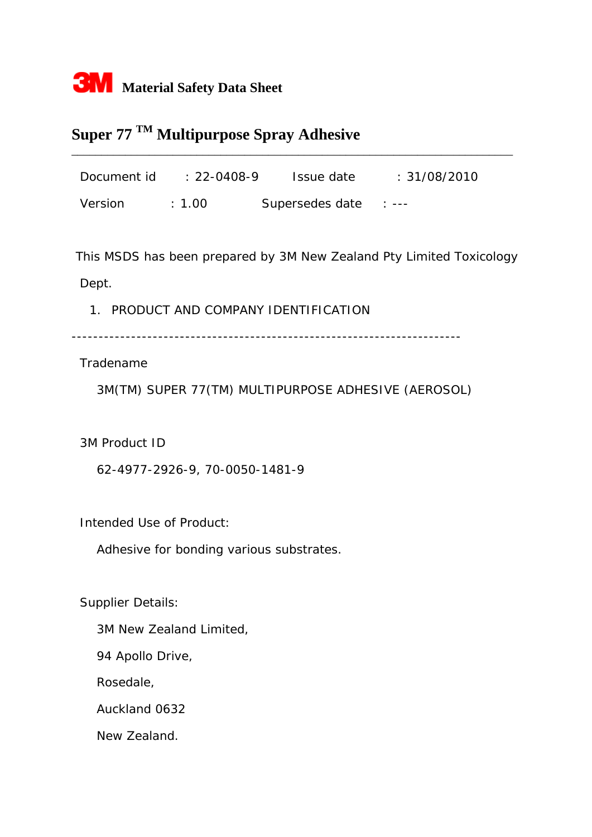

# **Super 77 TM Multipurpose Spray Adhesive**

Document id : 22-0408-9 Issue date : 31/08/2010 Version : 1.00 Supersedes date : ---

\_\_\_\_\_\_\_\_\_\_\_\_\_\_\_\_\_\_\_\_\_\_\_\_\_\_\_\_\_\_\_\_\_\_\_\_\_\_\_\_\_\_\_\_\_\_\_\_\_\_\_\_\_\_\_\_\_\_\_\_\_\_\_\_\_\_\_\_\_\_\_\_\_\_

 This MSDS has been prepared by 3M New Zealand Pty Limited Toxicology Dept.

1. PRODUCT AND COMPANY IDENTIFICATION

------------------------------------------------------------------------

Tradename

3M(TM) SUPER 77(TM) MULTIPURPOSE ADHESIVE (AEROSOL)

3M Product ID

62-4977-2926-9, 70-0050-1481-9

Intended Use of Product:

Adhesive for bonding various substrates.

Supplier Details:

3M New Zealand Limited,

94 Apollo Drive,

Rosedale,

Auckland 0632

New Zealand.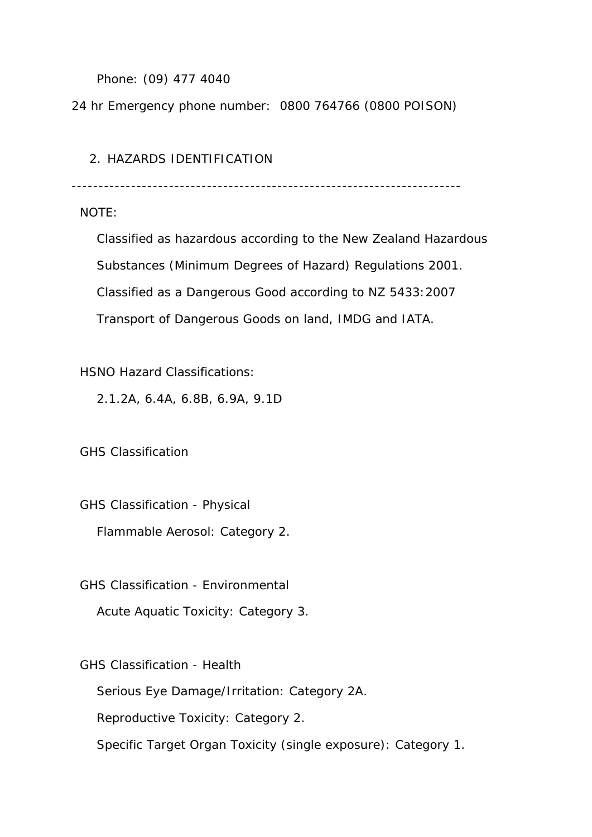Phone: (09) 477 4040

24 hr Emergency phone number: 0800 764766 (0800 POISON)

### 2. HAZARDS IDENTIFICATION

------------------------------------------------------------------------

NOTE:

 Classified as hazardous according to the New Zealand Hazardous Substances (Minimum Degrees of Hazard) Regulations 2001. Classified as a Dangerous Good according to NZ 5433:2007 Transport of Dangerous Goods on land, IMDG and IATA.

HSNO Hazard Classifications:

2.1.2A, 6.4A, 6.8B, 6.9A, 9.1D

GHS Classification

GHS Classification - Physical

Flammable Aerosol: Category 2.

GHS Classification - Environmental

Acute Aquatic Toxicity: Category 3.

GHS Classification - Health

Serious Eye Damage/Irritation: Category 2A.

Reproductive Toxicity: Category 2.

Specific Target Organ Toxicity (single exposure): Category 1.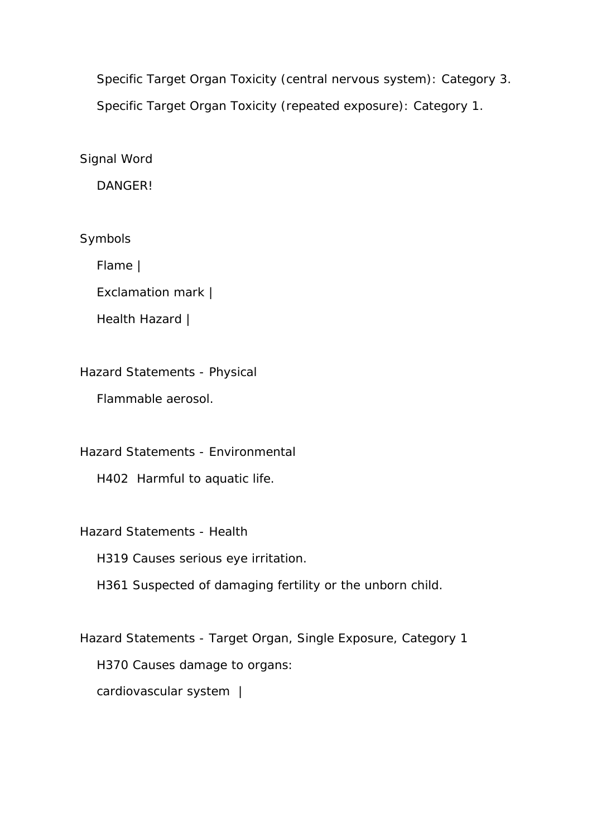Specific Target Organ Toxicity (central nervous system): Category 3. Specific Target Organ Toxicity (repeated exposure): Category 1.

Signal Word

DANGER!

Symbols

Flame |

Exclamation mark |

Health Hazard |

Hazard Statements - Physical

Flammable aerosol.

Hazard Statements - Environmental

H402 Harmful to aquatic life.

Hazard Statements - Health

H319 Causes serious eye irritation.

H361 Suspected of damaging fertility or the unborn child.

 Hazard Statements - Target Organ, Single Exposure, Category 1 H370 Causes damage to organs: cardiovascular system |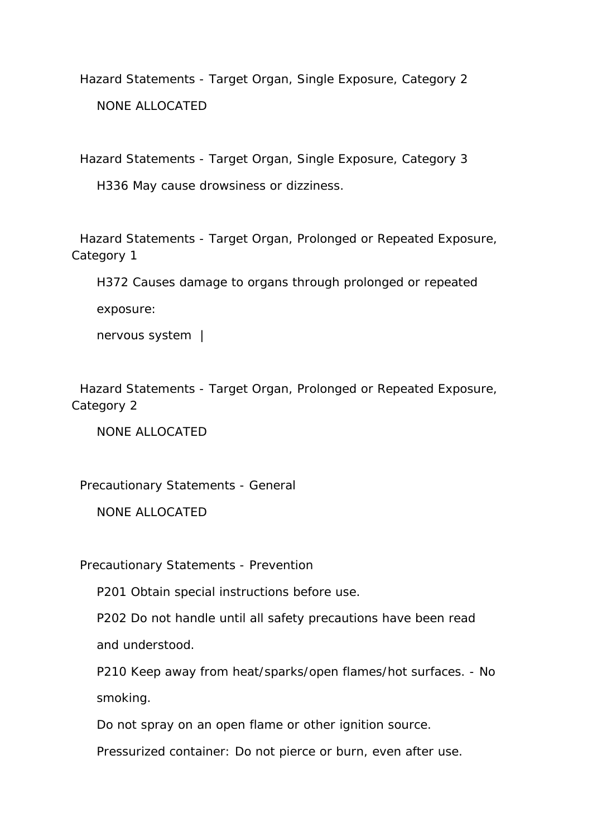Hazard Statements - Target Organ, Single Exposure, Category 2 NONE ALLOCATED

Hazard Statements - Target Organ, Single Exposure, Category 3

H336 May cause drowsiness or dizziness.

 Hazard Statements - Target Organ, Prolonged or Repeated Exposure, Category 1

 H372 Causes damage to organs through prolonged or repeated exposure:

nervous system |

 Hazard Statements - Target Organ, Prolonged or Repeated Exposure, Category 2

NONE ALLOCATED

Precautionary Statements - General

NONE ALLOCATED

Precautionary Statements - Prevention

P201 Obtain special instructions before use.

 P202 Do not handle until all safety precautions have been read and understood.

 P210 Keep away from heat/sparks/open flames/hot surfaces. - No smoking.

Do not spray on an open flame or other ignition source.

Pressurized container: Do not pierce or burn, even after use.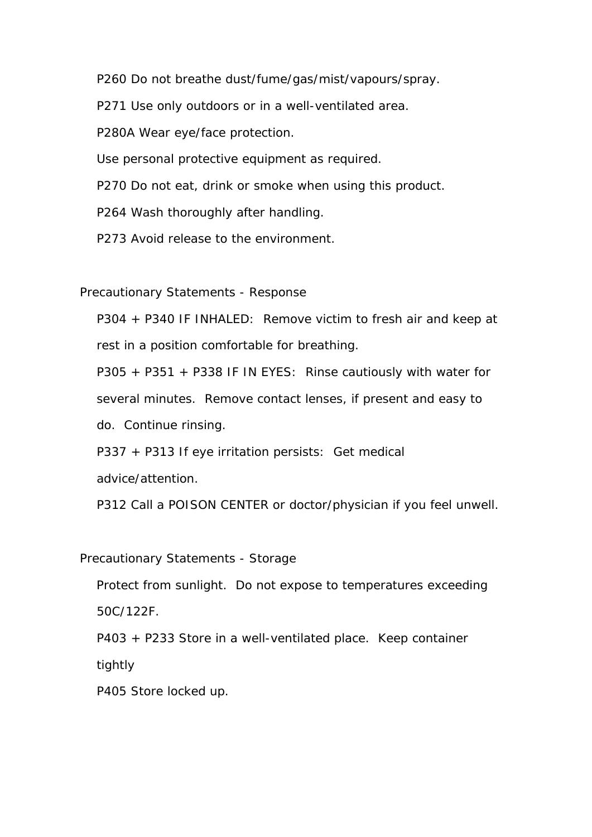P260 Do not breathe dust/fume/gas/mist/vapours/spray.

P271 Use only outdoors or in a well-ventilated area.

P280A Wear eye/face protection.

Use personal protective equipment as required.

P270 Do not eat, drink or smoke when using this product.

P264 Wash thoroughly after handling.

P273 Avoid release to the environment.

Precautionary Statements - Response

 P304 + P340 IF INHALED: Remove victim to fresh air and keep at rest in a position comfortable for breathing.

 P305 + P351 + P338 IF IN EYES: Rinse cautiously with water for several minutes. Remove contact lenses, if present and easy to do. Continue rinsing.

P337 + P313 If eye irritation persists: Get medical

advice/attention.

P312 Call a POISON CENTER or doctor/physician if you feel unwell.

Precautionary Statements - Storage

 Protect from sunlight. Do not expose to temperatures exceeding 50C/122F.

P403 + P233 Store in a well-ventilated place. Keep container

tightly

P405 Store locked up.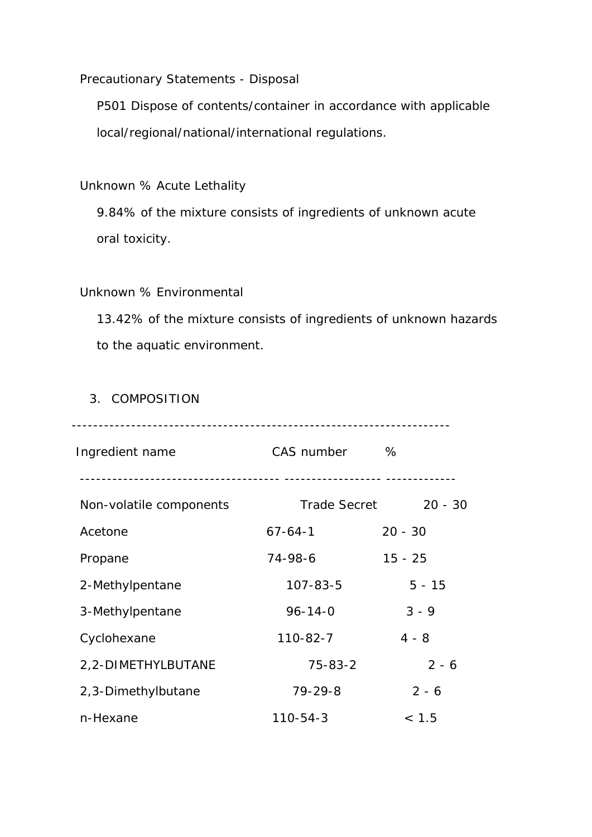Precautionary Statements - Disposal

 P501 Dispose of contents/container in accordance with applicable local/regional/national/international regulations.

Unknown % Acute Lethality

 9.84% of the mixture consists of ingredients of unknown acute oral toxicity.

#### Unknown % Environmental

 13.42% of the mixture consists of ingredients of unknown hazards to the aquatic environment.

#### 3. COMPOSITION

| Ingredient name         | CAS number          | %         |
|-------------------------|---------------------|-----------|
| Non-volatile components | <b>Trade Secret</b> | $20 - 30$ |
| Acetone                 | $67 - 64 - 1$       | $20 - 30$ |
| Propane                 | 74-98-6             | $15 - 25$ |
| 2-Methylpentane         | $107 - 83 - 5$      | $5 - 15$  |
| 3-Methylpentane         | $96 - 14 - 0$       | $3 - 9$   |
| Cyclohexane             | $110 - 82 - 7$      | $4 - 8$   |
| 2,2-DIMETHYLBUTANE      | $75 - 83 - 2$       | $2 - 6$   |
| 2,3-Dimethylbutane      | $79 - 29 - 8$       | $2 - 6$   |
| n-Hexane                | $110 - 54 - 3$      | < 1.5     |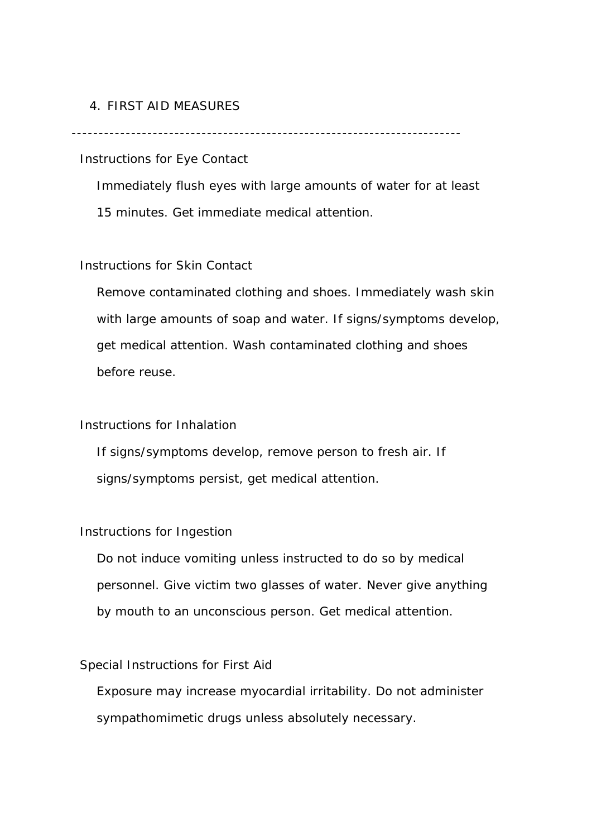#### 4. FIRST AID MEASURES

------------------------------------------------------------------------

Instructions for Eye Contact

 Immediately flush eyes with large amounts of water for at least 15 minutes. Get immediate medical attention.

#### Instructions for Skin Contact

 Remove contaminated clothing and shoes. Immediately wash skin with large amounts of soap and water. If signs/symptoms develop, get medical attention. Wash contaminated clothing and shoes before reuse.

#### Instructions for Inhalation

 If signs/symptoms develop, remove person to fresh air. If signs/symptoms persist, get medical attention.

#### Instructions for Ingestion

 Do not induce vomiting unless instructed to do so by medical personnel. Give victim two glasses of water. Never give anything by mouth to an unconscious person. Get medical attention.

#### Special Instructions for First Aid

 Exposure may increase myocardial irritability. Do not administer sympathomimetic drugs unless absolutely necessary.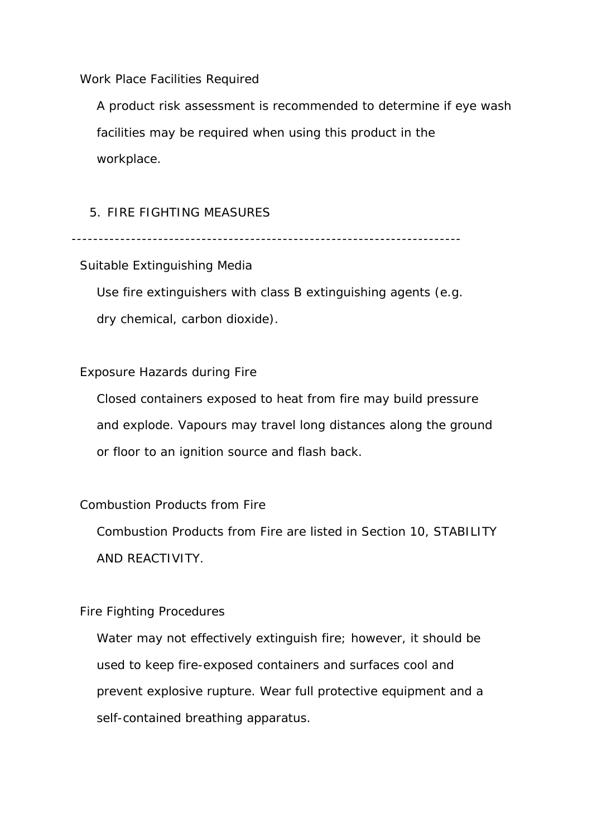Work Place Facilities Required

 A product risk assessment is recommended to determine if eye wash facilities may be required when using this product in the workplace.

#### 5. FIRE FIGHTING MEASURES

------------------------------------------------------------------------

#### Suitable Extinguishing Media

 Use fire extinguishers with class B extinguishing agents (e.g. dry chemical, carbon dioxide).

#### Exposure Hazards during Fire

 Closed containers exposed to heat from fire may build pressure and explode. Vapours may travel long distances along the ground or floor to an ignition source and flash back.

#### Combustion Products from Fire

 Combustion Products from Fire are listed in Section 10, STABILITY AND REACTIVITY.

#### Fire Fighting Procedures

 Water may not effectively extinguish fire; however, it should be used to keep fire-exposed containers and surfaces cool and prevent explosive rupture. Wear full protective equipment and a self-contained breathing apparatus.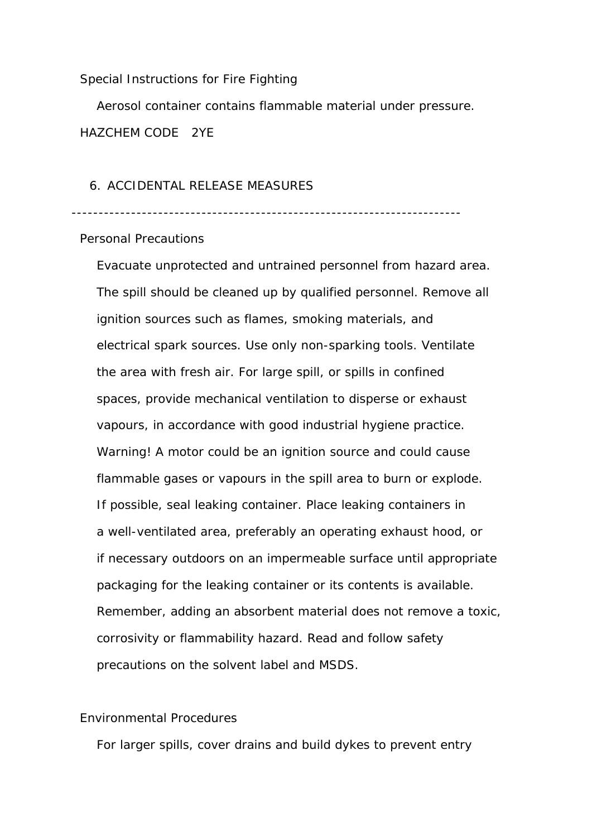Special Instructions for Fire Fighting

 Aerosol container contains flammable material under pressure. HAZCHEM CODE 2YE

#### 6. ACCIDENTAL RELEASE MEASURES

------------------------------------------------------------------------

#### Personal Precautions

 Evacuate unprotected and untrained personnel from hazard area. The spill should be cleaned up by qualified personnel. Remove all ignition sources such as flames, smoking materials, and electrical spark sources. Use only non-sparking tools. Ventilate the area with fresh air. For large spill, or spills in confined spaces, provide mechanical ventilation to disperse or exhaust vapours, in accordance with good industrial hygiene practice. Warning! A motor could be an ignition source and could cause flammable gases or vapours in the spill area to burn or explode. If possible, seal leaking container. Place leaking containers in a well-ventilated area, preferably an operating exhaust hood, or if necessary outdoors on an impermeable surface until appropriate packaging for the leaking container or its contents is available. Remember, adding an absorbent material does not remove a toxic, corrosivity or flammability hazard. Read and follow safety precautions on the solvent label and MSDS.

#### Environmental Procedures

For larger spills, cover drains and build dykes to prevent entry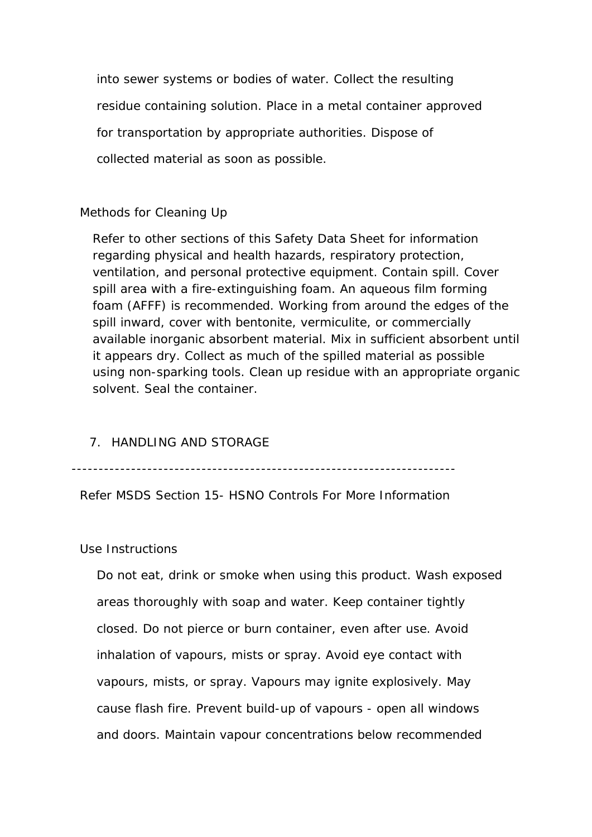into sewer systems or bodies of water. Collect the resulting residue containing solution. Place in a metal container approved for transportation by appropriate authorities. Dispose of collected material as soon as possible.

#### Methods for Cleaning Up

Refer to other sections of this Safety Data Sheet for information regarding physical and health hazards, respiratory protection, ventilation, and personal protective equipment. Contain spill. Cover spill area with a fire-extinguishing foam. An aqueous film forming foam (AFFF) is recommended. Working from around the edges of the spill inward, cover with bentonite, vermiculite, or commercially available inorganic absorbent material. Mix in sufficient absorbent until it appears dry. Collect as much of the spilled material as possible using non-sparking tools. Clean up residue with an appropriate organic solvent. Seal the container.

#### 7. HANDLING AND STORAGE

-----------------------------------------------------------------------

Refer MSDS Section 15- HSNO Controls For More Information

#### Use Instructions

 Do not eat, drink or smoke when using this product. Wash exposed areas thoroughly with soap and water. Keep container tightly closed. Do not pierce or burn container, even after use. Avoid inhalation of vapours, mists or spray. Avoid eye contact with vapours, mists, or spray. Vapours may ignite explosively. May cause flash fire. Prevent build-up of vapours - open all windows and doors. Maintain vapour concentrations below recommended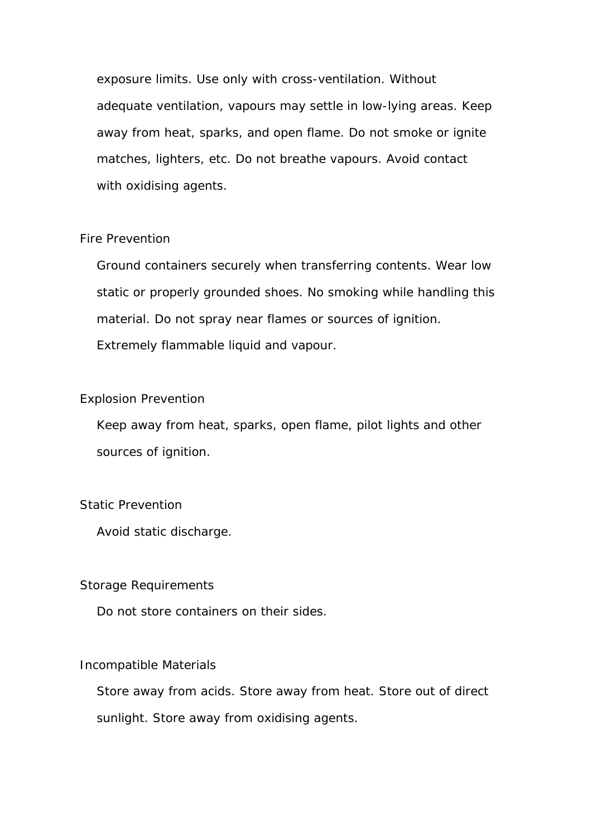exposure limits. Use only with cross-ventilation. Without adequate ventilation, vapours may settle in low-lying areas. Keep away from heat, sparks, and open flame. Do not smoke or ignite matches, lighters, etc. Do not breathe vapours. Avoid contact with oxidising agents.

#### Fire Prevention

 Ground containers securely when transferring contents. Wear low static or properly grounded shoes. No smoking while handling this material. Do not spray near flames or sources of ignition. Extremely flammable liquid and vapour.

#### Explosion Prevention

 Keep away from heat, sparks, open flame, pilot lights and other sources of ignition.

#### Static Prevention

Avoid static discharge.

#### Storage Requirements

Do not store containers on their sides.

#### Incompatible Materials

 Store away from acids. Store away from heat. Store out of direct sunlight. Store away from oxidising agents.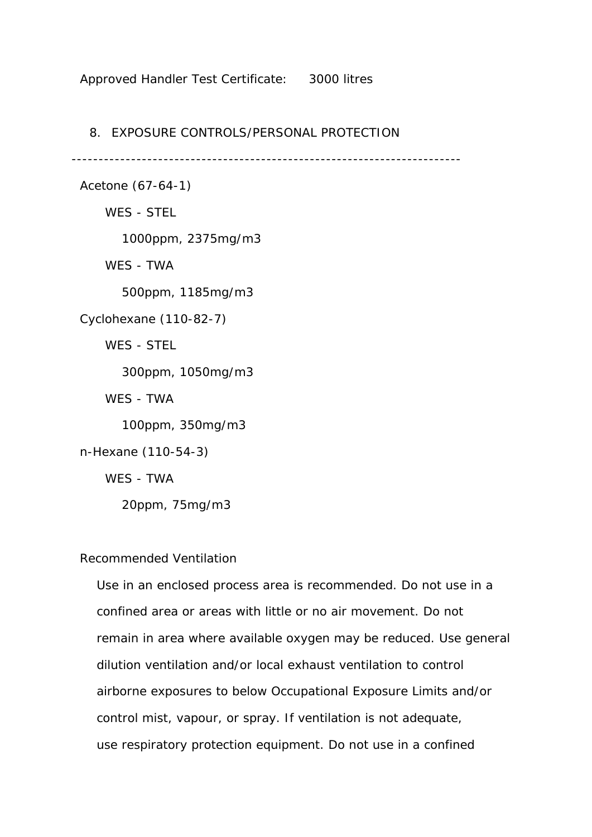#### Approved Handler Test Certificate: 3000 litres

#### 8. EXPOSURE CONTROLS/PERSONAL PROTECTION

------------------------------------------------------------------------

Acetone (67-64-1)

WES - STEL

1000ppm, 2375mg/m3

WES - TWA

500ppm, 1185mg/m3

Cyclohexane (110-82-7)

WES - STEL

300ppm, 1050mg/m3

WES - TWA

100ppm, 350mg/m3

n-Hexane (110-54-3)

WES - TWA

20ppm, 75mg/m3

#### Recommended Ventilation

 Use in an enclosed process area is recommended. Do not use in a confined area or areas with little or no air movement. Do not remain in area where available oxygen may be reduced. Use general dilution ventilation and/or local exhaust ventilation to control airborne exposures to below Occupational Exposure Limits and/or control mist, vapour, or spray. If ventilation is not adequate, use respiratory protection equipment. Do not use in a confined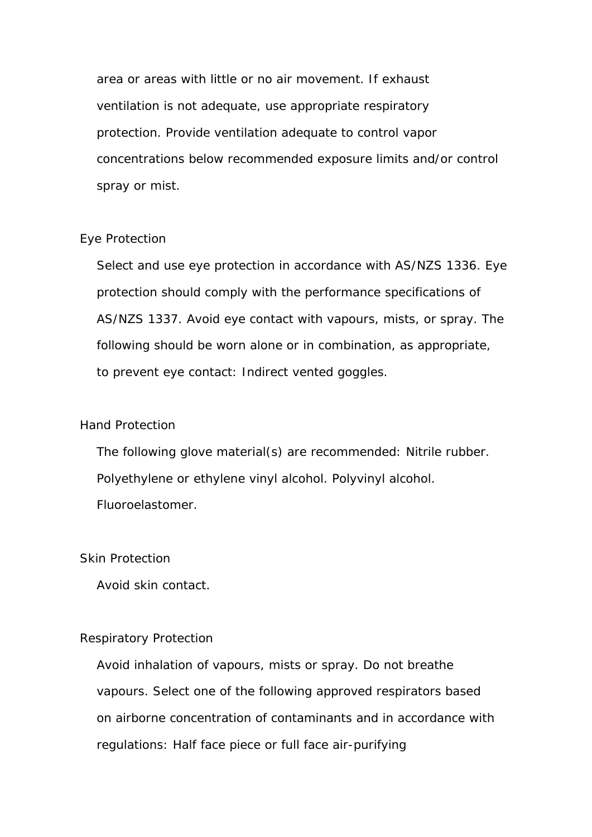area or areas with little or no air movement. If exhaust ventilation is not adequate, use appropriate respiratory protection. Provide ventilation adequate to control vapor concentrations below recommended exposure limits and/or control spray or mist.

#### Eye Protection

 Select and use eye protection in accordance with AS/NZS 1336. Eye protection should comply with the performance specifications of AS/NZS 1337. Avoid eye contact with vapours, mists, or spray. The following should be worn alone or in combination, as appropriate, to prevent eye contact: Indirect vented goggles.

#### Hand Protection

 The following glove material(s) are recommended: Nitrile rubber. Polyethylene or ethylene vinyl alcohol. Polyvinyl alcohol. Fluoroelastomer.

#### Skin Protection

Avoid skin contact.

#### Respiratory Protection

 Avoid inhalation of vapours, mists or spray. Do not breathe vapours. Select one of the following approved respirators based on airborne concentration of contaminants and in accordance with regulations: Half face piece or full face air-purifying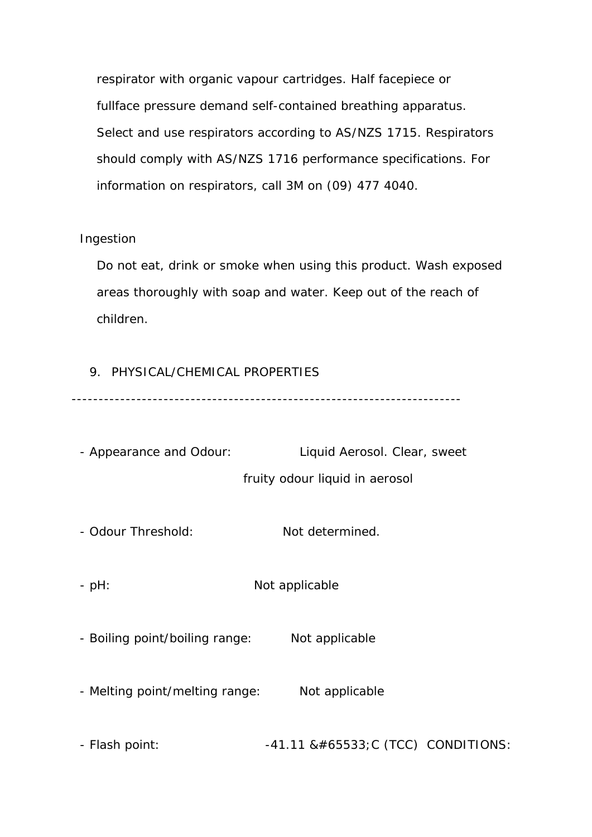respirator with organic vapour cartridges. Half facepiece or fullface pressure demand self-contained breathing apparatus. Select and use respirators according to AS/NZS 1715. Respirators should comply with AS/NZS 1716 performance specifications. For information on respirators, call 3M on (09) 477 4040.

#### Ingestion

 Do not eat, drink or smoke when using this product. Wash exposed areas thoroughly with soap and water. Keep out of the reach of children.

#### 9. PHYSICAL/CHEMICAL PROPERTIES

------------------------------------------------------------------------

 - Appearance and Odour: Liquid Aerosol. Clear, sweet fruity odour liquid in aerosol

- Odour Threshold: Not determined.

- pH: Not applicable

- Boiling point/boiling range: Not applicable

- Melting point/melting range: Not applicable

 $-$  Flash point:  $-41.11 \& #65533; C$  (TCC) CONDITIONS: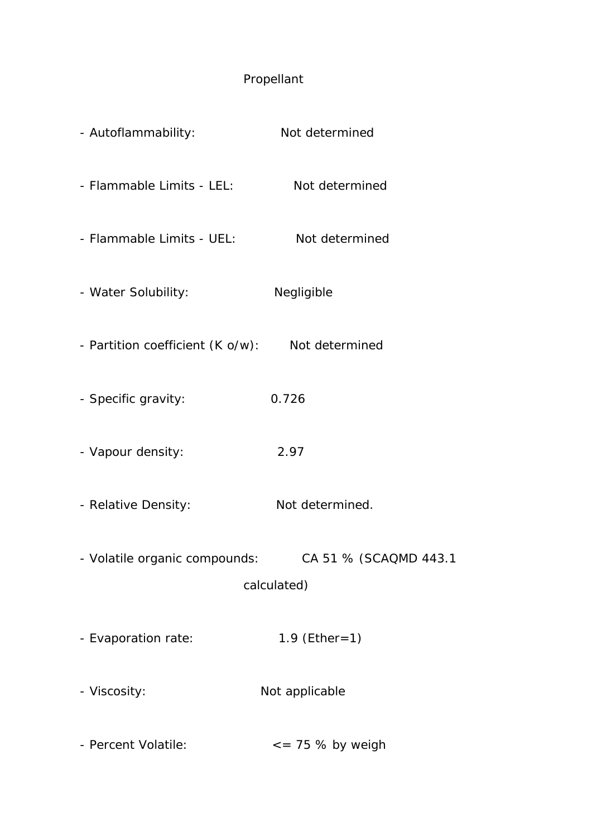# Propellant

| - Autoflammability:              | Not determined                       |
|----------------------------------|--------------------------------------|
| - Flammable Limits - LEL:        | Not determined                       |
| - Flammable Limits - UEL:        | Not determined                       |
| - Water Solubility:              | Negligible                           |
| - Partition coefficient (K o/w): | Not determined                       |
| - Specific gravity:              | 0.726                                |
| - Vapour density:                | 2.97                                 |
| - Relative Density:              | Not determined.                      |
| - Volatile organic compounds:    | CA 51 % (SCAQMD 443.1<br>calculated) |
| - Evaporation rate:              | 1.9 $(Ether=1)$                      |
| - Viscosity:                     | Not applicable                       |
| - Percent Volatile:              | $\epsilon$ = 75 % by weigh           |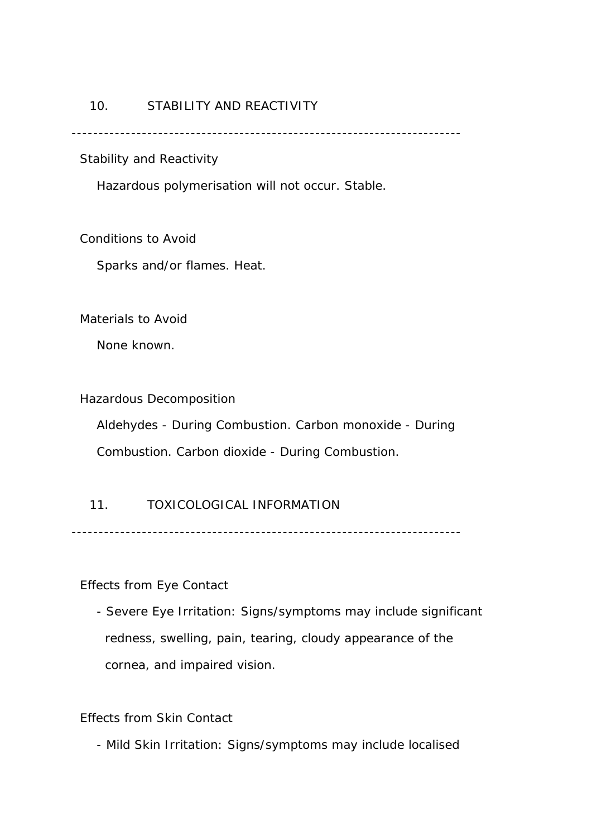#### 10. STABILITY AND REACTIVITY

------------------------------------------------------------------------

Stability and Reactivity

Hazardous polymerisation will not occur. Stable.

Conditions to Avoid

Sparks and/or flames. Heat.

Materials to Avoid

None known.

Hazardous Decomposition

 Aldehydes - During Combustion. Carbon monoxide - During Combustion. Carbon dioxide - During Combustion.

#### 11. TOXICOLOGICAL INFORMATION

------------------------------------------------------------------------

Effects from Eye Contact

 - Severe Eye Irritation: Signs/symptoms may include significant redness, swelling, pain, tearing, cloudy appearance of the cornea, and impaired vision.

#### Effects from Skin Contact

- Mild Skin Irritation: Signs/symptoms may include localised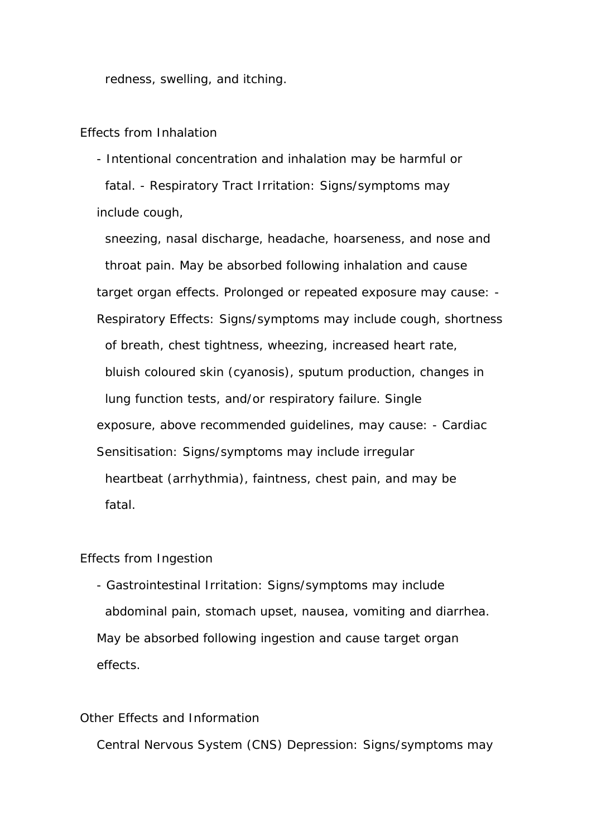redness, swelling, and itching.

Effects from Inhalation

 - Intentional concentration and inhalation may be harmful or fatal. - Respiratory Tract Irritation: Signs/symptoms may include cough,

 sneezing, nasal discharge, headache, hoarseness, and nose and throat pain. May be absorbed following inhalation and cause target organ effects. Prolonged or repeated exposure may cause: - Respiratory Effects: Signs/symptoms may include cough, shortness of breath, chest tightness, wheezing, increased heart rate, bluish coloured skin (cyanosis), sputum production, changes in lung function tests, and/or respiratory failure. Single exposure, above recommended guidelines, may cause: - Cardiac Sensitisation: Signs/symptoms may include irregular heartbeat (arrhythmia), faintness, chest pain, and may be fatal.

#### Effects from Ingestion

 - Gastrointestinal Irritation: Signs/symptoms may include abdominal pain, stomach upset, nausea, vomiting and diarrhea. May be absorbed following ingestion and cause target organ effects.

#### Other Effects and Information

Central Nervous System (CNS) Depression: Signs/symptoms may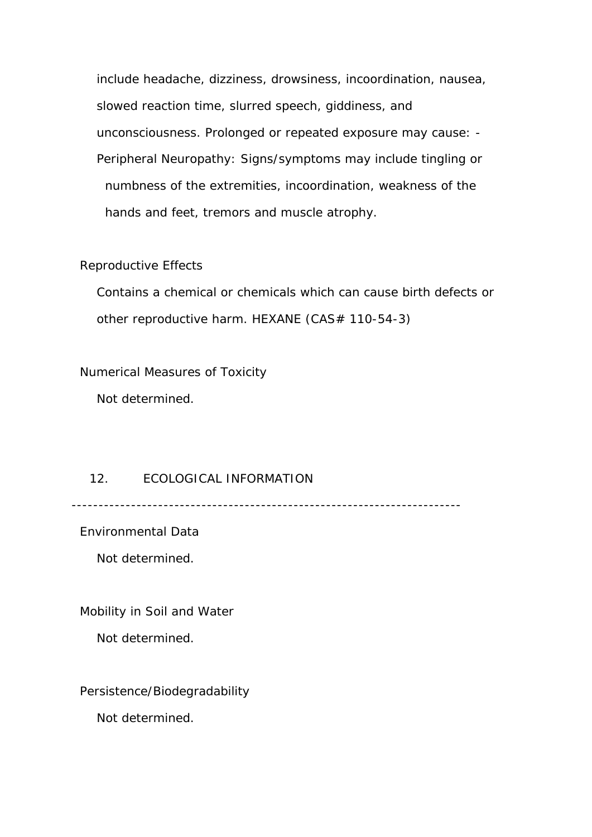include headache, dizziness, drowsiness, incoordination, nausea, slowed reaction time, slurred speech, giddiness, and unconsciousness. Prolonged or repeated exposure may cause: - Peripheral Neuropathy: Signs/symptoms may include tingling or numbness of the extremities, incoordination, weakness of the hands and feet, tremors and muscle atrophy.

#### Reproductive Effects

 Contains a chemical or chemicals which can cause birth defects or other reproductive harm. HEXANE (CAS# 110-54-3)

Numerical Measures of Toxicity

Not determined.

#### 12. ECOLOGICAL INFORMATION

------------------------------------------------------------------------

Environmental Data

Not determined.

Mobility in Soil and Water

Not determined.

Persistence/Biodegradability

Not determined.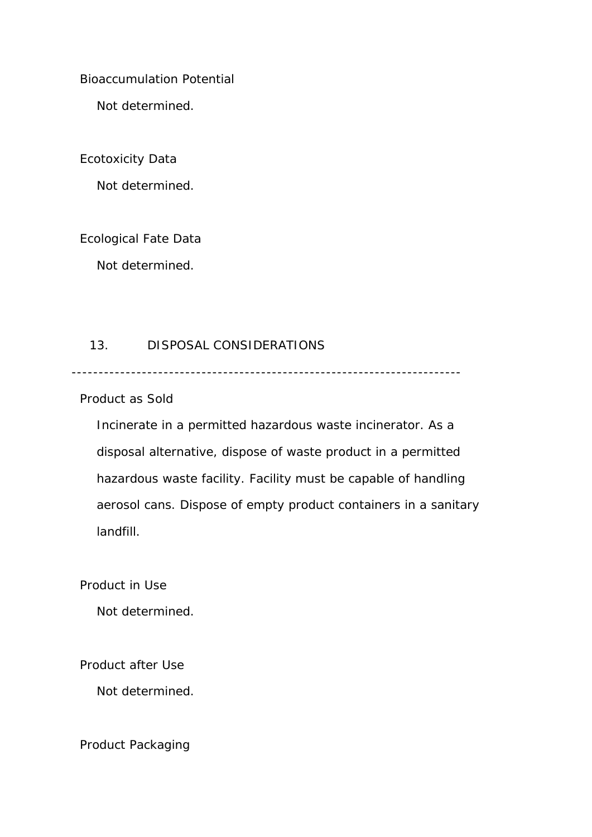#### Bioaccumulation Potential

Not determined.

#### Ecotoxicity Data

Not determined.

### Ecological Fate Data

Not determined.

### 13. DISPOSAL CONSIDERATIONS

------------------------------------------------------------------------

#### Product as Sold

 Incinerate in a permitted hazardous waste incinerator. As a disposal alternative, dispose of waste product in a permitted hazardous waste facility. Facility must be capable of handling aerosol cans. Dispose of empty product containers in a sanitary landfill.

Product in Use

Not determined.

Product after Use

Not determined.

Product Packaging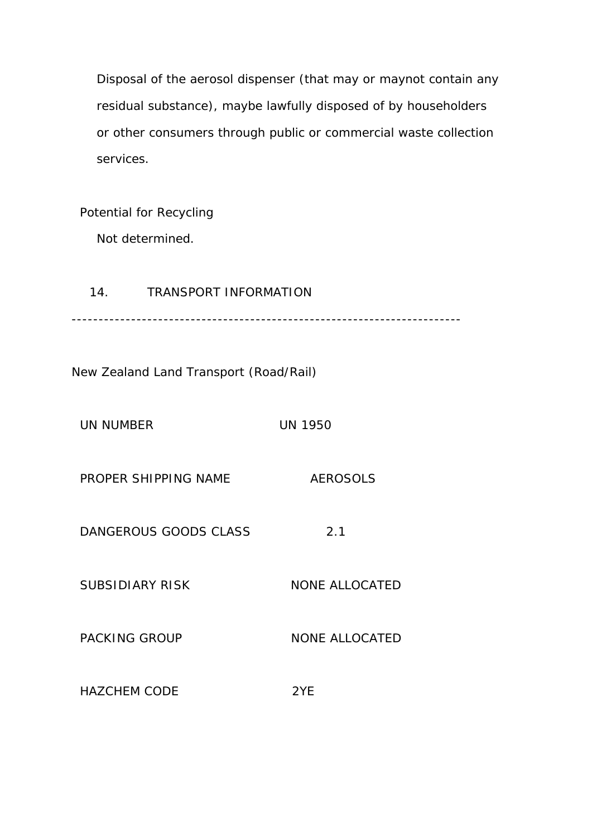Disposal of the aerosol dispenser (that may or maynot contain any residual substance), maybe lawfully disposed of by householders or other consumers through public or commercial waste collection services.

Potential for Recycling

Not determined.

14. TRANSPORT INFORMATION ------------------------------------------------------------------------

New Zealand Land Transport (Road/Rail)

UN NUMBER UN 1950

PROPER SHIPPING NAME AEROSOLS

DANGEROUS GOODS CLASS 2.1

SUBSIDIARY RISK NONE ALLOCATED

PACKING GROUP NONE ALLOCATED

HAZCHEM CODE 2YE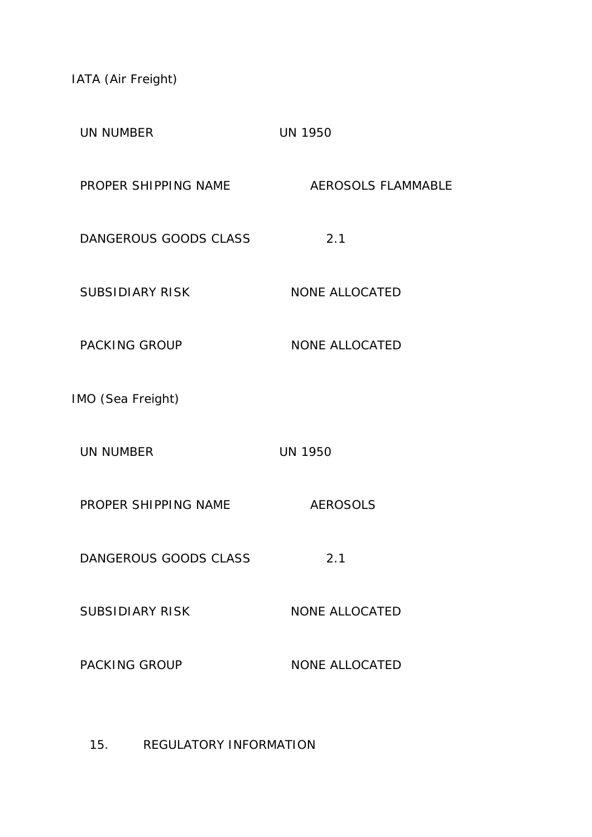IATA (Air Freight)

| <b>UN NUMBER</b>       | <b>UN 1950</b>            |
|------------------------|---------------------------|
| PROPER SHIPPING NAME   | <b>AEROSOLS FLAMMABLE</b> |
| DANGEROUS GOODS CLASS  | 2.1                       |
| <b>SUBSIDIARY RISK</b> | <b>NONE ALLOCATED</b>     |
| <b>PACKING GROUP</b>   | <b>NONE ALLOCATED</b>     |
| IMO (Sea Freight)      |                           |
| <b>UN NUMBER</b>       | <b>UN 1950</b>            |
| PROPER SHIPPING NAME   | <b>AEROSOLS</b>           |
| DANGEROUS GOODS CLASS  | 2.1                       |
| <b>SUBSIDIARY RISK</b> | <b>NONE ALLOCATED</b>     |
| <b>PACKING GROUP</b>   | <b>NONE ALLOCATED</b>     |
|                        |                           |

15. REGULATORY INFORMATION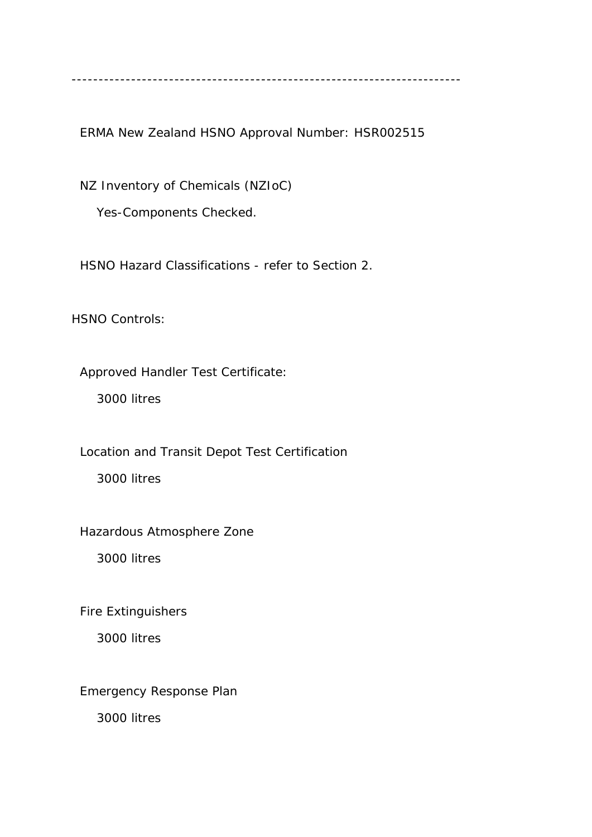------------------------------------------------------------------------

ERMA New Zealand HSNO Approval Number: HSR002515

 NZ Inventory of Chemicals (NZIoC) Yes-Components Checked.

HSNO Hazard Classifications - refer to Section 2.

HSNO Controls:

Approved Handler Test Certificate:

3000 litres

Location and Transit Depot Test Certification

3000 litres

Hazardous Atmosphere Zone

3000 litres

Fire Extinguishers

3000 litres

Emergency Response Plan

3000 litres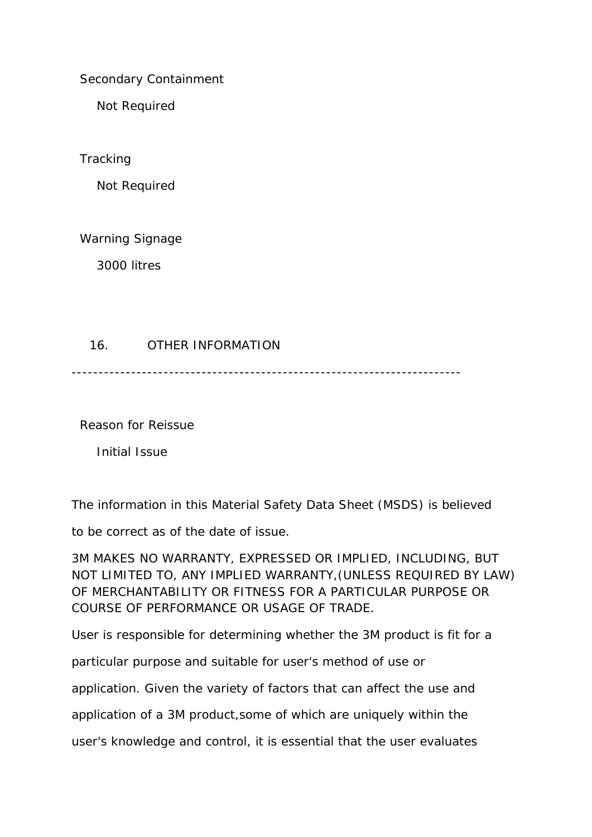Secondary Containment

Not Required

**Tracking** 

Not Required

Warning Signage

3000 litres

### 16. OTHER INFORMATION

------------------------------------------------------------------------

Reason for Reissue

Initial Issue

The information in this Material Safety Data Sheet (MSDS) is believed

to be correct as of the date of issue.

3M MAKES NO WARRANTY, EXPRESSED OR IMPLIED, INCLUDING, BUT NOT LIMITED TO, ANY IMPLIED WARRANTY,(UNLESS REQUIRED BY LAW) OF MERCHANTABILITY OR FITNESS FOR A PARTICULAR PURPOSE OR COURSE OF PERFORMANCE OR USAGE OF TRADE.

User is responsible for determining whether the 3M product is fit for a

particular purpose and suitable for user's method of use or

application. Given the variety of factors that can affect the use and

application of a 3M product,some of which are uniquely within the

user's knowledge and control, it is essential that the user evaluates